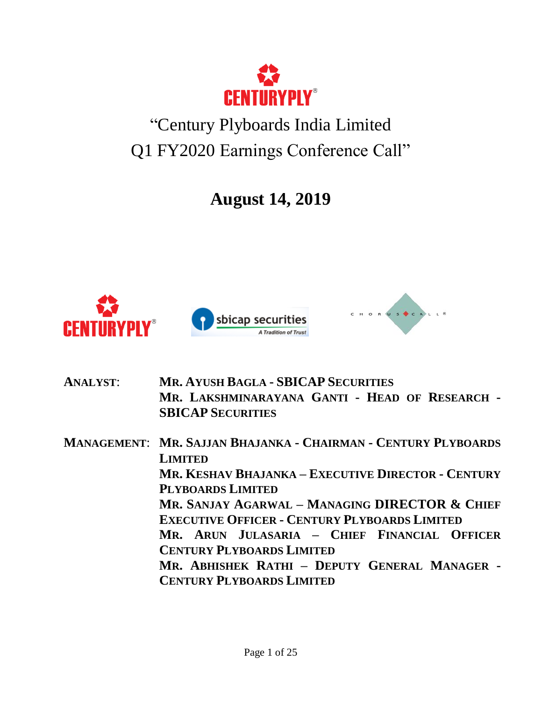

## "Century Plyboards India Limited Q1 FY2020 Earnings Conference Call"

**August 14, 2019**



**ANALYST**: **MR. AYUSH BAGLA - SBICAP SECURITIES MR. LAKSHMINARAYANA GANTI - HEAD OF RESEARCH - SBICAP SECURITIES MANAGEMENT**: **MR. SAJJAN BHAJANKA - CHAIRMAN - CENTURY PLYBOARDS LIMITED MR. KESHAV BHAJANKA – EXECUTIVE DIRECTOR - CENTURY PLYBOARDS LIMITED MR. SANJAY AGARWAL – MANAGING DIRECTOR & CHIEF EXECUTIVE OFFICER - CENTURY PLYBOARDS LIMITED MR. ARUN JULASARIA – CHIEF FINANCIAL OFFICER CENTURY PLYBOARDS LIMITED MR. ABHISHEK RATHI – DEPUTY GENERAL MANAGER - CENTURY PLYBOARDS LIMITED**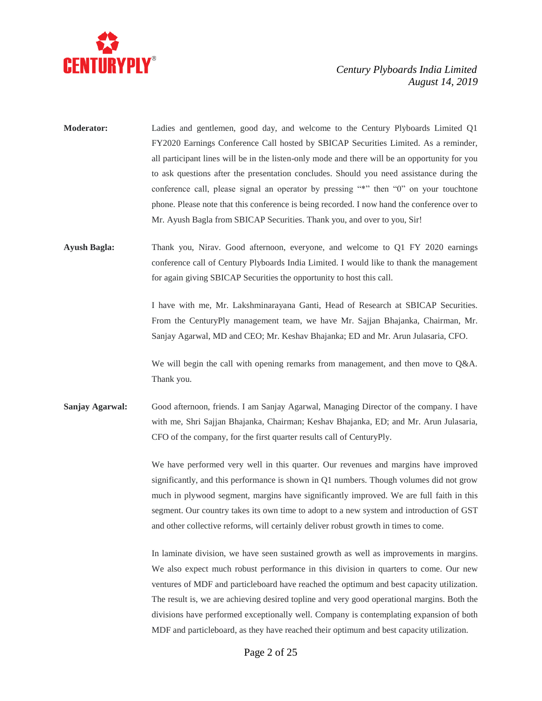

- **Moderator:** Ladies and gentlemen, good day, and welcome to the Century Plyboards Limited Q1 FY2020 Earnings Conference Call hosted by SBICAP Securities Limited. As a reminder, all participant lines will be in the listen-only mode and there will be an opportunity for you to ask questions after the presentation concludes. Should you need assistance during the conference call, please signal an operator by pressing "\*" then "0" on your touchtone phone. Please note that this conference is being recorded. I now hand the conference over to Mr. Ayush Bagla from SBICAP Securities. Thank you, and over to you, Sir!
- **Ayush Bagla:** Thank you, Nirav. Good afternoon, everyone, and welcome to Q1 FY 2020 earnings conference call of Century Plyboards India Limited. I would like to thank the management for again giving SBICAP Securities the opportunity to host this call.

I have with me, Mr. Lakshminarayana Ganti, Head of Research at SBICAP Securities. From the CenturyPly management team, we have Mr. Sajjan Bhajanka, Chairman, Mr. Sanjay Agarwal, MD and CEO; Mr. Keshav Bhajanka; ED and Mr. Arun Julasaria, CFO.

We will begin the call with opening remarks from management, and then move to Q&A. Thank you.

**Sanjay Agarwal:** Good afternoon, friends. I am Sanjay Agarwal, Managing Director of the company. I have with me, Shri Sajjan Bhajanka, Chairman; Keshav Bhajanka, ED; and Mr. Arun Julasaria, CFO of the company, for the first quarter results call of CenturyPly.

> We have performed very well in this quarter. Our revenues and margins have improved significantly, and this performance is shown in Q1 numbers. Though volumes did not grow much in plywood segment, margins have significantly improved. We are full faith in this segment. Our country takes its own time to adopt to a new system and introduction of GST and other collective reforms, will certainly deliver robust growth in times to come.

> In laminate division, we have seen sustained growth as well as improvements in margins. We also expect much robust performance in this division in quarters to come. Our new ventures of MDF and particleboard have reached the optimum and best capacity utilization. The result is, we are achieving desired topline and very good operational margins. Both the divisions have performed exceptionally well. Company is contemplating expansion of both MDF and particleboard, as they have reached their optimum and best capacity utilization.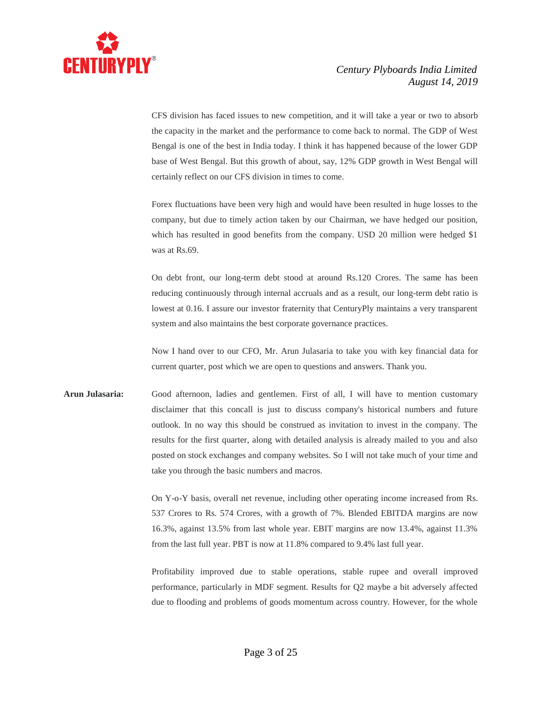

CFS division has faced issues to new competition, and it will take a year or two to absorb the capacity in the market and the performance to come back to normal. The GDP of West Bengal is one of the best in India today. I think it has happened because of the lower GDP base of West Bengal. But this growth of about, say, 12% GDP growth in West Bengal will certainly reflect on our CFS division in times to come.

Forex fluctuations have been very high and would have been resulted in huge losses to the company, but due to timely action taken by our Chairman, we have hedged our position, which has resulted in good benefits from the company. USD 20 million were hedged \$1 was at Rs.69.

On debt front, our long-term debt stood at around Rs.120 Crores. The same has been reducing continuously through internal accruals and as a result, our long-term debt ratio is lowest at 0.16. I assure our investor fraternity that CenturyPly maintains a very transparent system and also maintains the best corporate governance practices.

Now I hand over to our CFO, Mr. Arun Julasaria to take you with key financial data for current quarter, post which we are open to questions and answers. Thank you.

**Arun Julasaria:** Good afternoon, ladies and gentlemen. First of all, I will have to mention customary disclaimer that this concall is just to discuss company's historical numbers and future outlook. In no way this should be construed as invitation to invest in the company. The results for the first quarter, along with detailed analysis is already mailed to you and also posted on stock exchanges and company websites. So I will not take much of your time and take you through the basic numbers and macros.

> On Y-o-Y basis, overall net revenue, including other operating income increased from Rs. 537 Crores to Rs. 574 Crores, with a growth of 7%. Blended EBITDA margins are now 16.3%, against 13.5% from last whole year. EBIT margins are now 13.4%, against 11.3% from the last full year. PBT is now at 11.8% compared to 9.4% last full year.

> Profitability improved due to stable operations, stable rupee and overall improved performance, particularly in MDF segment. Results for Q2 maybe a bit adversely affected due to flooding and problems of goods momentum across country. However, for the whole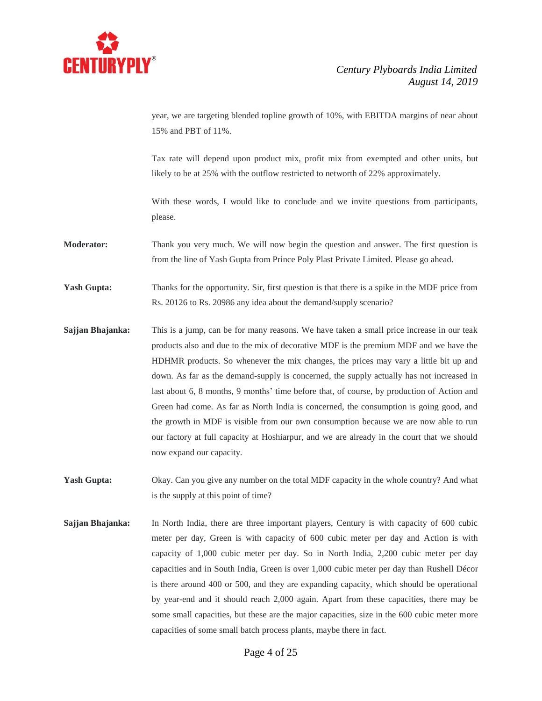

year, we are targeting blended topline growth of 10%, with EBITDA margins of near about 15% and PBT of 11%.

Tax rate will depend upon product mix, profit mix from exempted and other units, but likely to be at 25% with the outflow restricted to networth of 22% approximately.

With these words, I would like to conclude and we invite questions from participants, please.

**Moderator:** Thank you very much. We will now begin the question and answer. The first question is from the line of Yash Gupta from Prince Poly Plast Private Limited. Please go ahead.

**Yash Gupta:** Thanks for the opportunity. Sir, first question is that there is a spike in the MDF price from Rs. 20126 to Rs. 20986 any idea about the demand/supply scenario?

- **Sajjan Bhajanka:** This is a jump, can be for many reasons. We have taken a small price increase in our teak products also and due to the mix of decorative MDF is the premium MDF and we have the HDHMR products. So whenever the mix changes, the prices may vary a little bit up and down. As far as the demand-supply is concerned, the supply actually has not increased in last about 6, 8 months, 9 months' time before that, of course, by production of Action and Green had come. As far as North India is concerned, the consumption is going good, and the growth in MDF is visible from our own consumption because we are now able to run our factory at full capacity at Hoshiarpur, and we are already in the court that we should now expand our capacity.
- **Yash Gupta:** Okay. Can you give any number on the total MDF capacity in the whole country? And what is the supply at this point of time?
- **Sajjan Bhajanka:** In North India, there are three important players, Century is with capacity of 600 cubic meter per day, Green is with capacity of 600 cubic meter per day and Action is with capacity of 1,000 cubic meter per day. So in North India, 2,200 cubic meter per day capacities and in South India, Green is over 1,000 cubic meter per day than Rushell Décor is there around 400 or 500, and they are expanding capacity, which should be operational by year-end and it should reach 2,000 again. Apart from these capacities, there may be some small capacities, but these are the major capacities, size in the 600 cubic meter more capacities of some small batch process plants, maybe there in fact.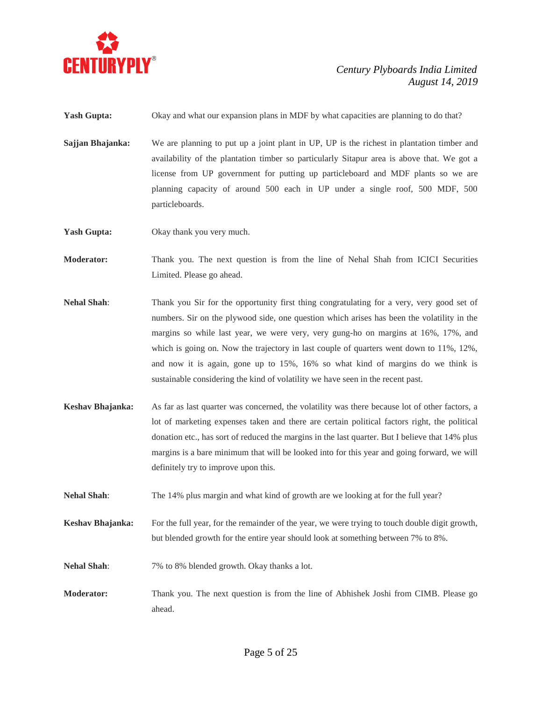

**Yash Gupta:** Okay and what our expansion plans in MDF by what capacities are planning to do that?

**Sajjan Bhajanka:** We are planning to put up a joint plant in UP, UP is the richest in plantation timber and availability of the plantation timber so particularly Sitapur area is above that. We got a license from UP government for putting up particleboard and MDF plants so we are planning capacity of around 500 each in UP under a single roof, 500 MDF, 500 particleboards.

Yash Gupta: Okay thank you very much.

- **Moderator:** Thank you. The next question is from the line of Nehal Shah from ICICI Securities Limited. Please go ahead.
- **Nehal Shah**: Thank you Sir for the opportunity first thing congratulating for a very, very good set of numbers. Sir on the plywood side, one question which arises has been the volatility in the margins so while last year, we were very, very gung-ho on margins at 16%, 17%, and which is going on. Now the trajectory in last couple of quarters went down to 11%, 12%, and now it is again, gone up to 15%, 16% so what kind of margins do we think is sustainable considering the kind of volatility we have seen in the recent past.
- **Keshav Bhajanka:** As far as last quarter was concerned, the volatility was there because lot of other factors, a lot of marketing expenses taken and there are certain political factors right, the political donation etc., has sort of reduced the margins in the last quarter. But I believe that 14% plus margins is a bare minimum that will be looked into for this year and going forward, we will definitely try to improve upon this.
- **Nehal Shah**: The 14% plus margin and what kind of growth are we looking at for the full year?
- **Keshav Bhajanka:** For the full year, for the remainder of the year, we were trying to touch double digit growth, but blended growth for the entire year should look at something between 7% to 8%.
- **Nehal Shah**: 7% to 8% blended growth. Okay thanks a lot.
- **Moderator:** Thank you. The next question is from the line of Abhishek Joshi from CIMB. Please go ahead.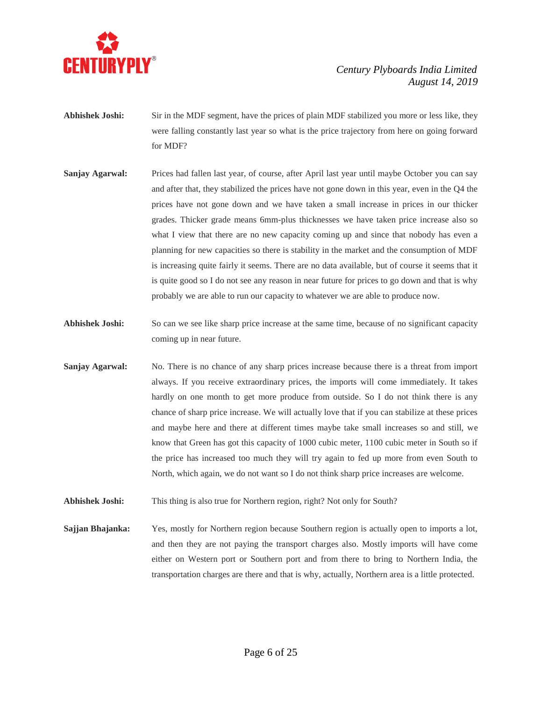

- **Abhishek Joshi:** Sir in the MDF segment, have the prices of plain MDF stabilized you more or less like, they were falling constantly last year so what is the price trajectory from here on going forward for MDF?
- **Sanjay Agarwal:** Prices had fallen last year, of course, after April last year until maybe October you can say and after that, they stabilized the prices have not gone down in this year, even in the Q4 the prices have not gone down and we have taken a small increase in prices in our thicker grades. Thicker grade means 6mm-plus thicknesses we have taken price increase also so what I view that there are no new capacity coming up and since that nobody has even a planning for new capacities so there is stability in the market and the consumption of MDF is increasing quite fairly it seems. There are no data available, but of course it seems that it is quite good so I do not see any reason in near future for prices to go down and that is why probably we are able to run our capacity to whatever we are able to produce now.
- **Abhishek Joshi:** So can we see like sharp price increase at the same time, because of no significant capacity coming up in near future.
- **Sanjay Agarwal:** No. There is no chance of any sharp prices increase because there is a threat from import always. If you receive extraordinary prices, the imports will come immediately. It takes hardly on one month to get more produce from outside. So I do not think there is any chance of sharp price increase. We will actually love that if you can stabilize at these prices and maybe here and there at different times maybe take small increases so and still, we know that Green has got this capacity of 1000 cubic meter, 1100 cubic meter in South so if the price has increased too much they will try again to fed up more from even South to North, which again, we do not want so I do not think sharp price increases are welcome.
- **Abhishek Joshi:** This thing is also true for Northern region, right? Not only for South?

**Sajjan Bhajanka:** Yes, mostly for Northern region because Southern region is actually open to imports a lot, and then they are not paying the transport charges also. Mostly imports will have come either on Western port or Southern port and from there to bring to Northern India, the transportation charges are there and that is why, actually, Northern area is a little protected.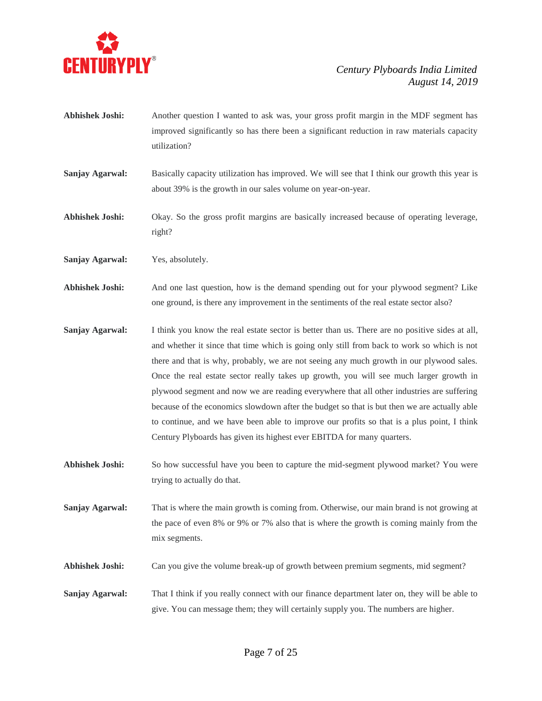

- **Abhishek Joshi:** Another question I wanted to ask was, your gross profit margin in the MDF segment has improved significantly so has there been a significant reduction in raw materials capacity utilization?
- **Sanjay Agarwal:** Basically capacity utilization has improved. We will see that I think our growth this year is about 39% is the growth in our sales volume on year-on-year.
- **Abhishek Joshi:** Okay. So the gross profit margins are basically increased because of operating leverage, right?
- **Sanjay Agarwal:** Yes, absolutely.
- **Abhishek Joshi:** And one last question, how is the demand spending out for your plywood segment? Like one ground, is there any improvement in the sentiments of the real estate sector also?
- **Sanjay Agarwal:** I think you know the real estate sector is better than us. There are no positive sides at all, and whether it since that time which is going only still from back to work so which is not there and that is why, probably, we are not seeing any much growth in our plywood sales. Once the real estate sector really takes up growth, you will see much larger growth in plywood segment and now we are reading everywhere that all other industries are suffering because of the economics slowdown after the budget so that is but then we are actually able to continue, and we have been able to improve our profits so that is a plus point, I think Century Plyboards has given its highest ever EBITDA for many quarters.
- **Abhishek Joshi:** So how successful have you been to capture the mid-segment plywood market? You were trying to actually do that.
- **Sanjay Agarwal:** That is where the main growth is coming from. Otherwise, our main brand is not growing at the pace of even 8% or 9% or 7% also that is where the growth is coming mainly from the mix segments.
- Abhishek Joshi: Can you give the volume break-up of growth between premium segments, mid segment?
- **Sanjay Agarwal:** That I think if you really connect with our finance department later on, they will be able to give. You can message them; they will certainly supply you. The numbers are higher.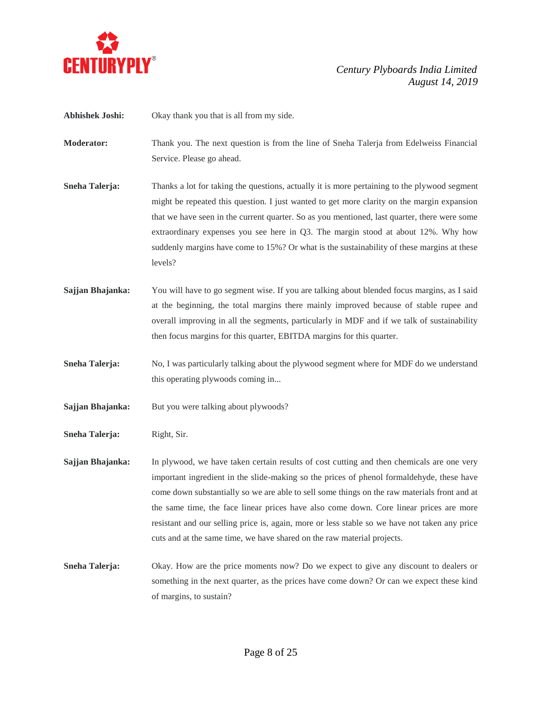

**Abhishek Joshi:** Okay thank you that is all from my side.

**Moderator:** Thank you. The next question is from the line of Sneha Talerja from Edelweiss Financial Service. Please go ahead.

**Sneha Talerja:** Thanks a lot for taking the questions, actually it is more pertaining to the plywood segment might be repeated this question. I just wanted to get more clarity on the margin expansion that we have seen in the current quarter. So as you mentioned, last quarter, there were some extraordinary expenses you see here in Q3. The margin stood at about 12%. Why how suddenly margins have come to 15%? Or what is the sustainability of these margins at these levels?

**Sajjan Bhajanka:** You will have to go segment wise. If you are talking about blended focus margins, as I said at the beginning, the total margins there mainly improved because of stable rupee and overall improving in all the segments, particularly in MDF and if we talk of sustainability then focus margins for this quarter, EBITDA margins for this quarter.

**Sneha Talerja:** No, I was particularly talking about the plywood segment where for MDF do we understand this operating plywoods coming in...

**Sajjan Bhajanka:** But you were talking about plywoods?

**Sneha Talerja:** Right, Sir.

**Sajjan Bhajanka:** In plywood, we have taken certain results of cost cutting and then chemicals are one very important ingredient in the slide-making so the prices of phenol formaldehyde, these have come down substantially so we are able to sell some things on the raw materials front and at the same time, the face linear prices have also come down. Core linear prices are more resistant and our selling price is, again, more or less stable so we have not taken any price cuts and at the same time, we have shared on the raw material projects.

**Sneha Talerja:** Okay. How are the price moments now? Do we expect to give any discount to dealers or something in the next quarter, as the prices have come down? Or can we expect these kind of margins, to sustain?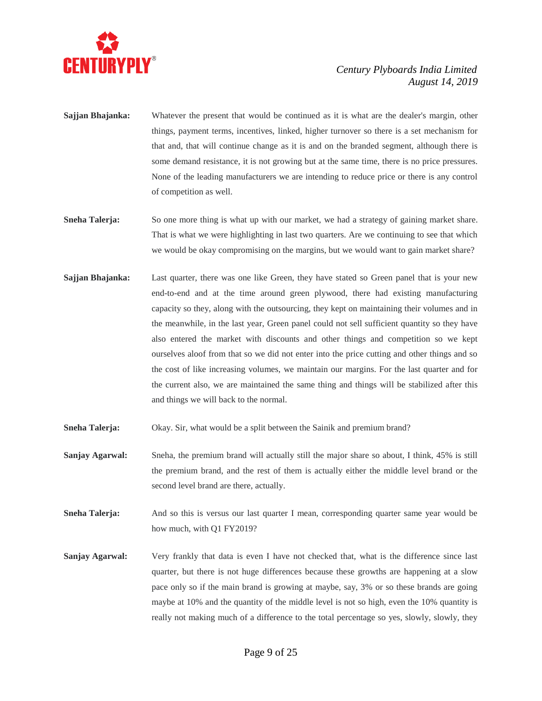

- **Sajjan Bhajanka:** Whatever the present that would be continued as it is what are the dealer's margin, other things, payment terms, incentives, linked, higher turnover so there is a set mechanism for that and, that will continue change as it is and on the branded segment, although there is some demand resistance, it is not growing but at the same time, there is no price pressures. None of the leading manufacturers we are intending to reduce price or there is any control of competition as well.
- **Sneha Talerja:** So one more thing is what up with our market, we had a strategy of gaining market share. That is what we were highlighting in last two quarters. Are we continuing to see that which we would be okay compromising on the margins, but we would want to gain market share?
- **Sajjan Bhajanka:** Last quarter, there was one like Green, they have stated so Green panel that is your new end-to-end and at the time around green plywood, there had existing manufacturing capacity so they, along with the outsourcing, they kept on maintaining their volumes and in the meanwhile, in the last year, Green panel could not sell sufficient quantity so they have also entered the market with discounts and other things and competition so we kept ourselves aloof from that so we did not enter into the price cutting and other things and so the cost of like increasing volumes, we maintain our margins. For the last quarter and for the current also, we are maintained the same thing and things will be stabilized after this and things we will back to the normal.
- **Sneha Talerja:** Okay. Sir, what would be a split between the Sainik and premium brand?
- **Sanjay <b>Agarwal:** Sneha, the premium brand will actually still the major share so about, I think, 45% is still the premium brand, and the rest of them is actually either the middle level brand or the second level brand are there, actually.
- **Sneha Talerja:** And so this is versus our last quarter I mean, corresponding quarter same year would be how much, with Q1 FY2019?
- **Sanjay Agarwal:** Very frankly that data is even I have not checked that, what is the difference since last quarter, but there is not huge differences because these growths are happening at a slow pace only so if the main brand is growing at maybe, say, 3% or so these brands are going maybe at 10% and the quantity of the middle level is not so high, even the 10% quantity is really not making much of a difference to the total percentage so yes, slowly, slowly, they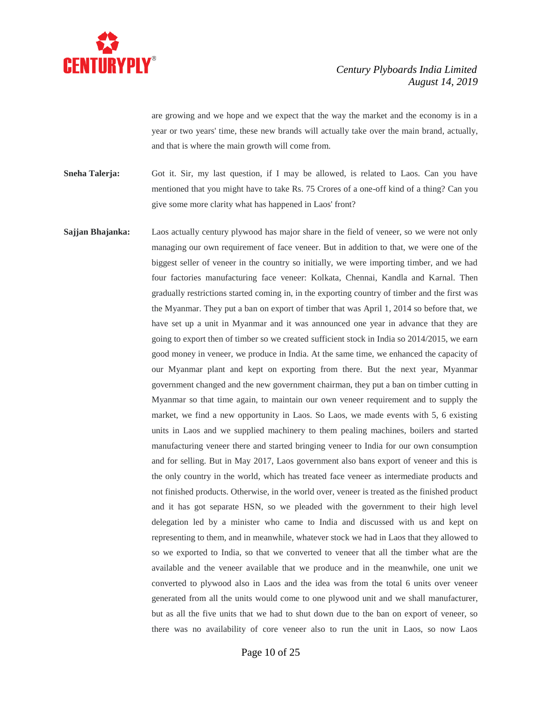

are growing and we hope and we expect that the way the market and the economy is in a year or two years' time, these new brands will actually take over the main brand, actually, and that is where the main growth will come from.

**Sneha Talerja:** Got it. Sir, my last question, if I may be allowed, is related to Laos. Can you have mentioned that you might have to take Rs. 75 Crores of a one-off kind of a thing? Can you give some more clarity what has happened in Laos' front?

**Sajjan Bhajanka:** Laos actually century plywood has major share in the field of veneer, so we were not only managing our own requirement of face veneer. But in addition to that, we were one of the biggest seller of veneer in the country so initially, we were importing timber, and we had four factories manufacturing face veneer: Kolkata, Chennai, Kandla and Karnal. Then gradually restrictions started coming in, in the exporting country of timber and the first was the Myanmar. They put a ban on export of timber that was April 1, 2014 so before that, we have set up a unit in Myanmar and it was announced one year in advance that they are going to export then of timber so we created sufficient stock in India so 2014/2015, we earn good money in veneer, we produce in India. At the same time, we enhanced the capacity of our Myanmar plant and kept on exporting from there. But the next year, Myanmar government changed and the new government chairman, they put a ban on timber cutting in Myanmar so that time again, to maintain our own veneer requirement and to supply the market, we find a new opportunity in Laos. So Laos, we made events with 5, 6 existing units in Laos and we supplied machinery to them pealing machines, boilers and started manufacturing veneer there and started bringing veneer to India for our own consumption and for selling. But in May 2017, Laos government also bans export of veneer and this is the only country in the world, which has treated face veneer as intermediate products and not finished products. Otherwise, in the world over, veneer is treated as the finished product and it has got separate HSN, so we pleaded with the government to their high level delegation led by a minister who came to India and discussed with us and kept on representing to them, and in meanwhile, whatever stock we had in Laos that they allowed to so we exported to India, so that we converted to veneer that all the timber what are the available and the veneer available that we produce and in the meanwhile, one unit we converted to plywood also in Laos and the idea was from the total 6 units over veneer generated from all the units would come to one plywood unit and we shall manufacturer, but as all the five units that we had to shut down due to the ban on export of veneer, so there was no availability of core veneer also to run the unit in Laos, so now Laos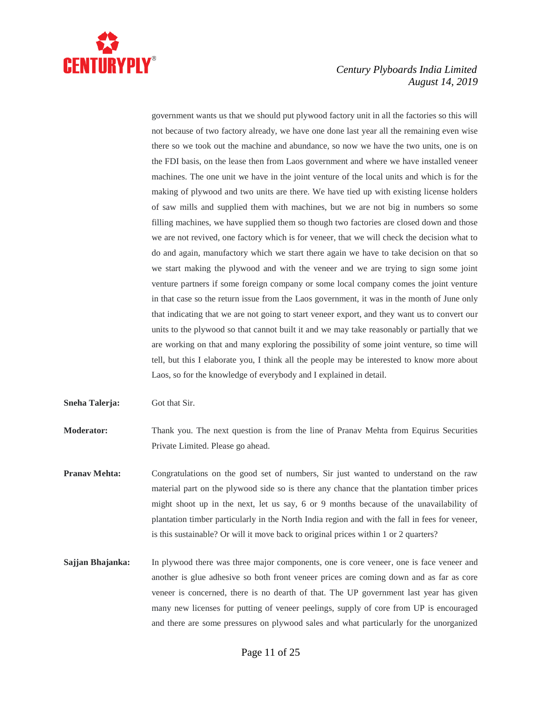

government wants us that we should put plywood factory unit in all the factories so this will not because of two factory already, we have one done last year all the remaining even wise there so we took out the machine and abundance, so now we have the two units, one is on the FDI basis, on the lease then from Laos government and where we have installed veneer machines. The one unit we have in the joint venture of the local units and which is for the making of plywood and two units are there. We have tied up with existing license holders of saw mills and supplied them with machines, but we are not big in numbers so some filling machines, we have supplied them so though two factories are closed down and those we are not revived, one factory which is for veneer, that we will check the decision what to do and again, manufactory which we start there again we have to take decision on that so we start making the plywood and with the veneer and we are trying to sign some joint venture partners if some foreign company or some local company comes the joint venture in that case so the return issue from the Laos government, it was in the month of June only that indicating that we are not going to start veneer export, and they want us to convert our units to the plywood so that cannot built it and we may take reasonably or partially that we are working on that and many exploring the possibility of some joint venture, so time will tell, but this I elaborate you, I think all the people may be interested to know more about Laos, so for the knowledge of everybody and I explained in detail.

**Sneha Talerja:** Got that Sir.

**Moderator:** Thank you. The next question is from the line of Pranav Mehta from Equirus Securities Private Limited. Please go ahead.

- **Pranav Mehta:** Congratulations on the good set of numbers, Sir just wanted to understand on the raw material part on the plywood side so is there any chance that the plantation timber prices might shoot up in the next, let us say, 6 or 9 months because of the unavailability of plantation timber particularly in the North India region and with the fall in fees for veneer, is this sustainable? Or will it move back to original prices within 1 or 2 quarters?
- **Sajjan Bhajanka:** In plywood there was three major components, one is core veneer, one is face veneer and another is glue adhesive so both front veneer prices are coming down and as far as core veneer is concerned, there is no dearth of that. The UP government last year has given many new licenses for putting of veneer peelings, supply of core from UP is encouraged and there are some pressures on plywood sales and what particularly for the unorganized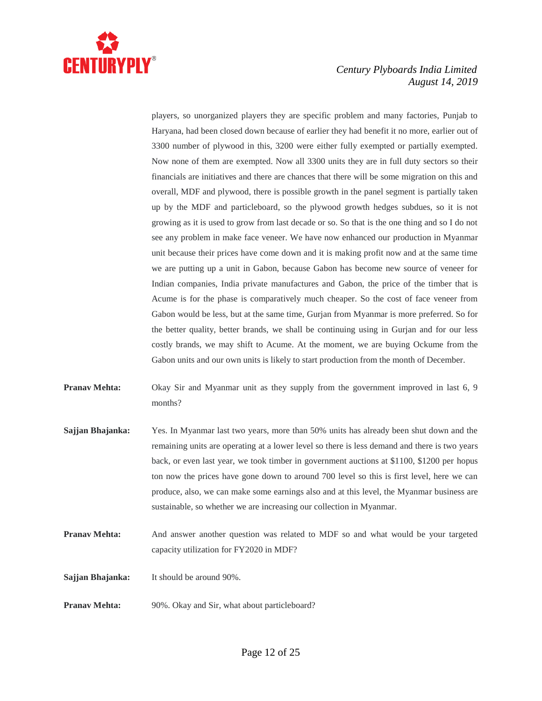

players, so unorganized players they are specific problem and many factories, Punjab to Haryana, had been closed down because of earlier they had benefit it no more, earlier out of 3300 number of plywood in this, 3200 were either fully exempted or partially exempted. Now none of them are exempted. Now all 3300 units they are in full duty sectors so their financials are initiatives and there are chances that there will be some migration on this and overall, MDF and plywood, there is possible growth in the panel segment is partially taken up by the MDF and particleboard, so the plywood growth hedges subdues, so it is not growing as it is used to grow from last decade or so. So that is the one thing and so I do not see any problem in make face veneer. We have now enhanced our production in Myanmar unit because their prices have come down and it is making profit now and at the same time we are putting up a unit in Gabon, because Gabon has become new source of veneer for Indian companies, India private manufactures and Gabon, the price of the timber that is Acume is for the phase is comparatively much cheaper. So the cost of face veneer from Gabon would be less, but at the same time, Gurjan from Myanmar is more preferred. So for the better quality, better brands, we shall be continuing using in Gurjan and for our less costly brands, we may shift to Acume. At the moment, we are buying Ockume from the Gabon units and our own units is likely to start production from the month of December.

- **Pranav Mehta:** Okay Sir and Myanmar unit as they supply from the government improved in last 6, 9 months?
- **Sajjan Bhajanka:** Yes. In Myanmar last two years, more than 50% units has already been shut down and the remaining units are operating at a lower level so there is less demand and there is two years back, or even last year, we took timber in government auctions at \$1100, \$1200 per hopus ton now the prices have gone down to around 700 level so this is first level, here we can produce, also, we can make some earnings also and at this level, the Myanmar business are sustainable, so whether we are increasing our collection in Myanmar.
- **Pranav Mehta:** And answer another question was related to MDF so and what would be your targeted capacity utilization for FY2020 in MDF?
- **Sajjan Bhajanka:** It should be around 90%.
- **Pranav Mehta:** 90%. Okay and Sir, what about particleboard?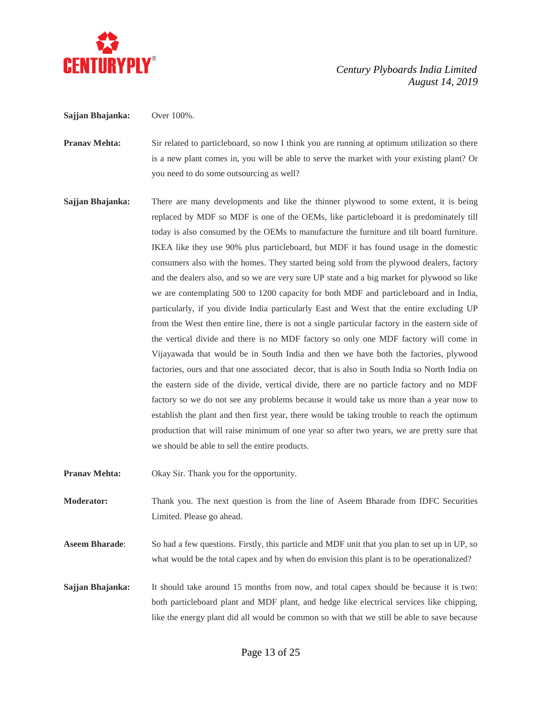

**Sajjan Bhajanka:** Over 100%.

- **Pranav Mehta:** Sir related to particleboard, so now I think you are running at optimum utilization so there is a new plant comes in, you will be able to serve the market with your existing plant? Or you need to do some outsourcing as well?
- **Sajjan Bhajanka:** There are many developments and like the thinner plywood to some extent, it is being replaced by MDF so MDF is one of the OEMs, like particleboard it is predominately till today is also consumed by the OEMs to manufacture the furniture and tilt board furniture. IKEA like they use 90% plus particleboard, but MDF it has found usage in the domestic consumers also with the homes. They started being sold from the plywood dealers, factory and the dealers also, and so we are very sure UP state and a big market for plywood so like we are contemplating 500 to 1200 capacity for both MDF and particleboard and in India, particularly, if you divide India particularly East and West that the entire excluding UP from the West then entire line, there is not a single particular factory in the eastern side of the vertical divide and there is no MDF factory so only one MDF factory will come in Vijayawada that would be in South India and then we have both the factories, plywood factories, ours and that one associated decor, that is also in South India so North India on the eastern side of the divide, vertical divide, there are no particle factory and no MDF factory so we do not see any problems because it would take us more than a year now to establish the plant and then first year, there would be taking trouble to reach the optimum production that will raise minimum of one year so after two years, we are pretty sure that we should be able to sell the entire products.
- **Pranav Mehta:** Okay Sir. Thank you for the opportunity.
- **Moderator:** Thank you. The next question is from the line of Aseem Bharade from IDFC Securities Limited. Please go ahead.
- **Aseem Bharade**: So had a few questions. Firstly, this particle and MDF unit that you plan to set up in UP, so what would be the total capex and by when do envision this plant is to be operationalized?
- **Sajjan Bhajanka:** It should take around 15 months from now, and total capex should be because it is two: both particleboard plant and MDF plant, and hedge like electrical services like chipping, like the energy plant did all would be common so with that we still be able to save because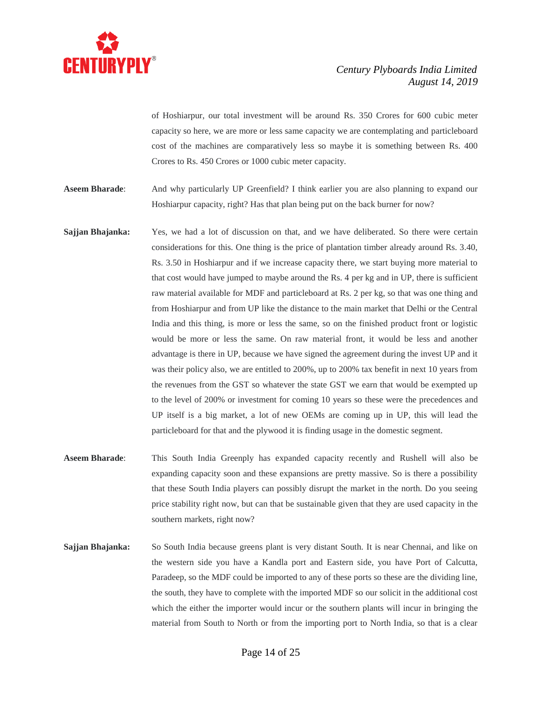

of Hoshiarpur, our total investment will be around Rs. 350 Crores for 600 cubic meter capacity so here, we are more or less same capacity we are contemplating and particleboard cost of the machines are comparatively less so maybe it is something between Rs. 400 Crores to Rs. 450 Crores or 1000 cubic meter capacity.

- **Aseem Bharade**: And why particularly UP Greenfield? I think earlier you are also planning to expand our Hoshiarpur capacity, right? Has that plan being put on the back burner for now?
- **Sajjan Bhajanka:** Yes, we had a lot of discussion on that, and we have deliberated. So there were certain considerations for this. One thing is the price of plantation timber already around Rs. 3.40, Rs. 3.50 in Hoshiarpur and if we increase capacity there, we start buying more material to that cost would have jumped to maybe around the Rs. 4 per kg and in UP, there is sufficient raw material available for MDF and particleboard at Rs. 2 per kg, so that was one thing and from Hoshiarpur and from UP like the distance to the main market that Delhi or the Central India and this thing, is more or less the same, so on the finished product front or logistic would be more or less the same. On raw material front, it would be less and another advantage is there in UP, because we have signed the agreement during the invest UP and it was their policy also, we are entitled to 200%, up to 200% tax benefit in next 10 years from the revenues from the GST so whatever the state GST we earn that would be exempted up to the level of 200% or investment for coming 10 years so these were the precedences and UP itself is a big market, a lot of new OEMs are coming up in UP, this will lead the particleboard for that and the plywood it is finding usage in the domestic segment.
- **Aseem Bharade**: This South India Greenply has expanded capacity recently and Rushell will also be expanding capacity soon and these expansions are pretty massive. So is there a possibility that these South India players can possibly disrupt the market in the north. Do you seeing price stability right now, but can that be sustainable given that they are used capacity in the southern markets, right now?
- **Sajjan Bhajanka:** So South India because greens plant is very distant South. It is near Chennai, and like on the western side you have a Kandla port and Eastern side, you have Port of Calcutta, Paradeep, so the MDF could be imported to any of these ports so these are the dividing line, the south, they have to complete with the imported MDF so our solicit in the additional cost which the either the importer would incur or the southern plants will incur in bringing the material from South to North or from the importing port to North India, so that is a clear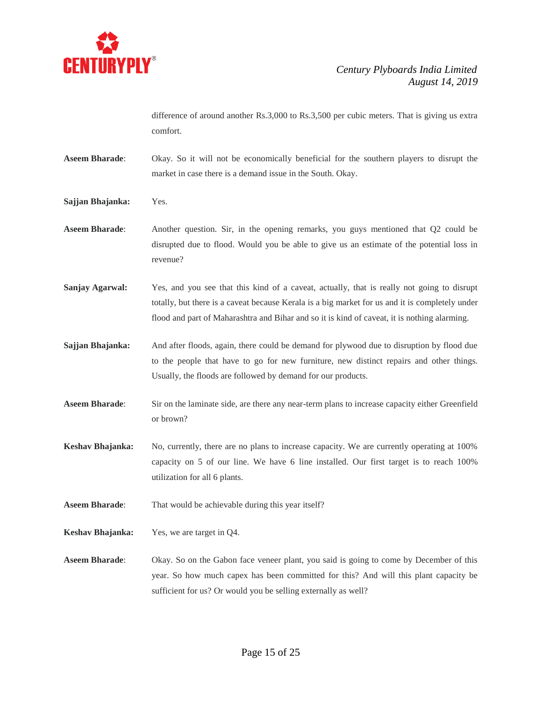

difference of around another Rs.3,000 to Rs.3,500 per cubic meters. That is giving us extra comfort.

- **Aseem Bharade**: Okay. So it will not be economically beneficial for the southern players to disrupt the market in case there is a demand issue in the South. Okay.
- **Sajjan Bhajanka:** Yes.
- **Aseem Bharade**: Another question. Sir, in the opening remarks, you guys mentioned that Q2 could be disrupted due to flood. Would you be able to give us an estimate of the potential loss in revenue?
- **Sanjay Agarwal:** Yes, and you see that this kind of a caveat, actually, that is really not going to disrupt totally, but there is a caveat because Kerala is a big market for us and it is completely under flood and part of Maharashtra and Bihar and so it is kind of caveat, it is nothing alarming.
- **Sajjan Bhajanka:** And after floods, again, there could be demand for plywood due to disruption by flood due to the people that have to go for new furniture, new distinct repairs and other things. Usually, the floods are followed by demand for our products.
- **Aseem Bharade**: Sir on the laminate side, are there any near-term plans to increase capacity either Greenfield or brown?
- **Keshav Bhajanka:** No, currently, there are no plans to increase capacity. We are currently operating at 100% capacity on 5 of our line. We have 6 line installed. Our first target is to reach 100% utilization for all 6 plants.
- **Aseem Bharade**: That would be achievable during this year itself?
- **Keshav Bhajanka:** Yes, we are target in Q4.
- **Aseem Bharade**: Okay. So on the Gabon face veneer plant, you said is going to come by December of this year. So how much capex has been committed for this? And will this plant capacity be sufficient for us? Or would you be selling externally as well?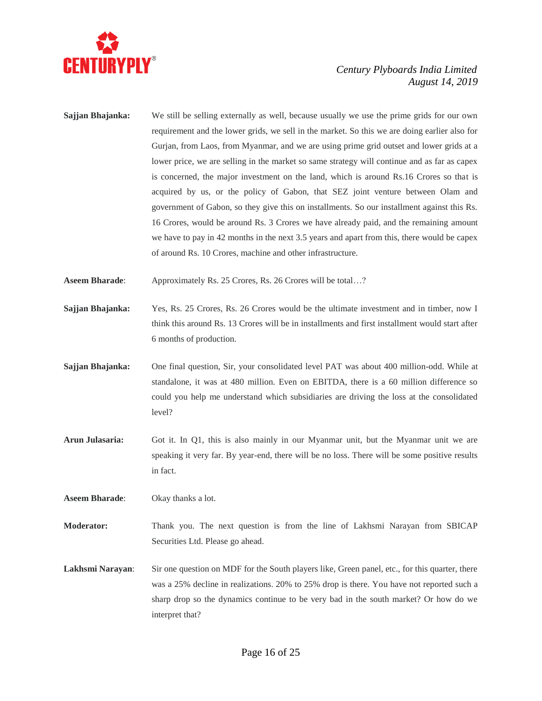

**Sajjan Bhajanka:** We still be selling externally as well, because usually we use the prime grids for our own requirement and the lower grids, we sell in the market. So this we are doing earlier also for Gurjan, from Laos, from Myanmar, and we are using prime grid outset and lower grids at a lower price, we are selling in the market so same strategy will continue and as far as capex is concerned, the major investment on the land, which is around Rs.16 Crores so that is acquired by us, or the policy of Gabon, that SEZ joint venture between Olam and government of Gabon, so they give this on installments. So our installment against this Rs. 16 Crores, would be around Rs. 3 Crores we have already paid, and the remaining amount we have to pay in 42 months in the next 3.5 years and apart from this, there would be capex of around Rs. 10 Crores, machine and other infrastructure.

**Aseem Bharade:** Approximately Rs. 25 Crores, Rs. 26 Crores will be total...?

- **Sajjan Bhajanka:** Yes, Rs. 25 Crores, Rs. 26 Crores would be the ultimate investment and in timber, now I think this around Rs. 13 Crores will be in installments and first installment would start after 6 months of production.
- **Sajjan Bhajanka:** One final question, Sir, your consolidated level PAT was about 400 million-odd. While at standalone, it was at 480 million. Even on EBITDA, there is a 60 million difference so could you help me understand which subsidiaries are driving the loss at the consolidated level?
- **Arun Julasaria:** Got it. In Q1, this is also mainly in our Myanmar unit, but the Myanmar unit we are speaking it very far. By year-end, there will be no loss. There will be some positive results in fact.

**Aseem Bharade**: Okay thanks a lot.

**Moderator:** Thank you. The next question is from the line of Lakhsmi Narayan from SBICAP Securities Ltd. Please go ahead.

Lakhsmi Narayan: Sir one question on MDF for the South players like, Green panel, etc., for this quarter, there was a 25% decline in realizations. 20% to 25% drop is there. You have not reported such a sharp drop so the dynamics continue to be very bad in the south market? Or how do we interpret that?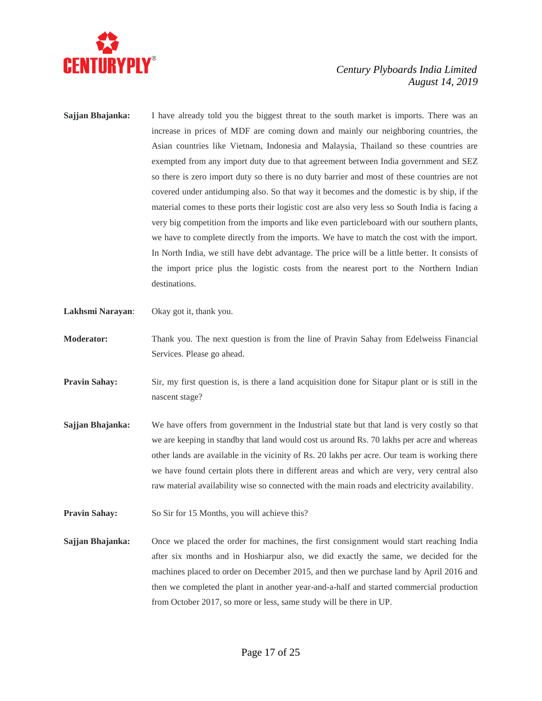

- **Sajjan Bhajanka:** I have already told you the biggest threat to the south market is imports. There was an increase in prices of MDF are coming down and mainly our neighboring countries, the Asian countries like Vietnam, Indonesia and Malaysia, Thailand so these countries are exempted from any import duty due to that agreement between India government and SEZ so there is zero import duty so there is no duty barrier and most of these countries are not covered under antidumping also. So that way it becomes and the domestic is by ship, if the material comes to these ports their logistic cost are also very less so South India is facing a very big competition from the imports and like even particleboard with our southern plants, we have to complete directly from the imports. We have to match the cost with the import. In North India, we still have debt advantage. The price will be a little better. It consists of the import price plus the logistic costs from the nearest port to the Northern Indian destinations.
- **Lakhsmi Narayan**: Okay got it, thank you.
- **Moderator:** Thank you. The next question is from the line of Pravin Sahay from Edelweiss Financial Services. Please go ahead.
- **Pravin Sahay:** Sir, my first question is, is there a land acquisition done for Sitapur plant or is still in the nascent stage?
- **Sajjan Bhajanka:** We have offers from government in the Industrial state but that land is very costly so that we are keeping in standby that land would cost us around Rs. 70 lakhs per acre and whereas other lands are available in the vicinity of Rs. 20 lakhs per acre. Our team is working there we have found certain plots there in different areas and which are very, very central also raw material availability wise so connected with the main roads and electricity availability.
- **Pravin Sahay:** So Sir for 15 Months, you will achieve this?
- **Sajjan Bhajanka:** Once we placed the order for machines, the first consignment would start reaching India after six months and in Hoshiarpur also, we did exactly the same, we decided for the machines placed to order on December 2015, and then we purchase land by April 2016 and then we completed the plant in another year-and-a-half and started commercial production from October 2017, so more or less, same study will be there in UP.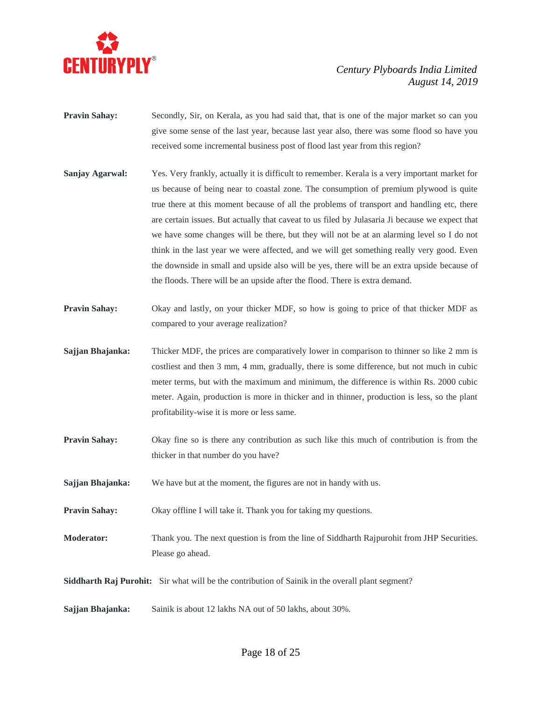

- **Pravin Sahay:** Secondly, Sir, on Kerala, as you had said that, that is one of the major market so can you give some sense of the last year, because last year also, there was some flood so have you received some incremental business post of flood last year from this region?
- **Sanjay Agarwal:** Yes. Very frankly, actually it is difficult to remember. Kerala is a very important market for us because of being near to coastal zone. The consumption of premium plywood is quite true there at this moment because of all the problems of transport and handling etc, there are certain issues. But actually that caveat to us filed by Julasaria Ji because we expect that we have some changes will be there, but they will not be at an alarming level so I do not think in the last year we were affected, and we will get something really very good. Even the downside in small and upside also will be yes, there will be an extra upside because of the floods. There will be an upside after the flood. There is extra demand.
- **Pravin Sahay:** Okay and lastly, on your thicker MDF, so how is going to price of that thicker MDF as compared to your average realization?
- **Sajjan Bhajanka:** Thicker MDF, the prices are comparatively lower in comparison to thinner so like 2 mm is costliest and then 3 mm, 4 mm, gradually, there is some difference, but not much in cubic meter terms, but with the maximum and minimum, the difference is within Rs. 2000 cubic meter. Again, production is more in thicker and in thinner, production is less, so the plant profitability-wise it is more or less same.
- **Pravin Sahay:** Okay fine so is there any contribution as such like this much of contribution is from the thicker in that number do you have?
- **Sajjan Bhajanka:** We have but at the moment, the figures are not in handy with us.
- **Pravin Sahay:** Okay offline I will take it. Thank you for taking my questions.
- **Moderator:** Thank you. The next question is from the line of Siddharth Rajpurohit from JHP Securities. Please go ahead.

**Siddharth Raj Purohit:** Sir what will be the contribution of Sainik in the overall plant segment?

**Sajjan Bhajanka:** Sainik is about 12 lakhs NA out of 50 lakhs, about 30%.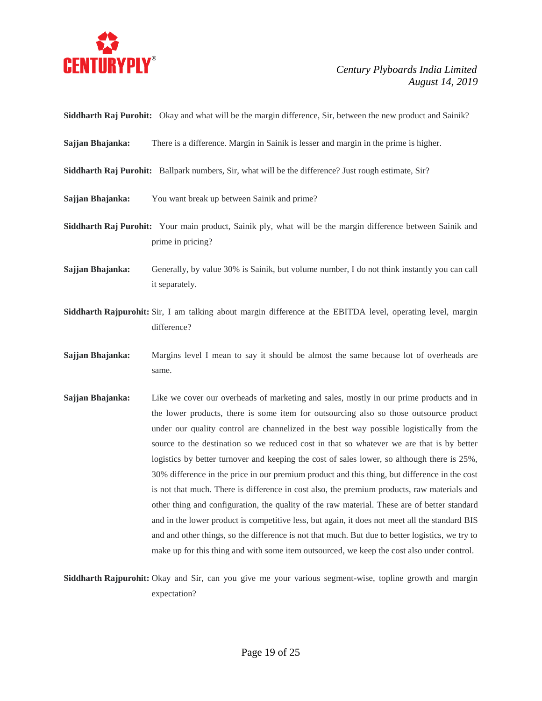

**Siddharth Raj Purohit:** Okay and what will be the margin difference, Sir, between the new product and Sainik?

- **Sajjan Bhajanka:** There is a difference. Margin in Sainik is lesser and margin in the prime is higher.
- **Siddharth Raj Purohit:** Ballpark numbers, Sir, what will be the difference? Just rough estimate, Sir?
- **Sajjan Bhajanka:** You want break up between Sainik and prime?
- **Siddharth Raj Purohit:** Your main product, Sainik ply, what will be the margin difference between Sainik and prime in pricing?
- **Sajjan Bhajanka:** Generally, by value 30% is Sainik, but volume number, I do not think instantly you can call it separately.
- **Siddharth Rajpurohit:** Sir, I am talking about margin difference at the EBITDA level, operating level, margin difference?
- **Sajjan Bhajanka:** Margins level I mean to say it should be almost the same because lot of overheads are same.
- **Sajjan Bhajanka:** Like we cover our overheads of marketing and sales, mostly in our prime products and in the lower products, there is some item for outsourcing also so those outsource product under our quality control are channelized in the best way possible logistically from the source to the destination so we reduced cost in that so whatever we are that is by better logistics by better turnover and keeping the cost of sales lower, so although there is 25%, 30% difference in the price in our premium product and this thing, but difference in the cost is not that much. There is difference in cost also, the premium products, raw materials and other thing and configuration, the quality of the raw material. These are of better standard and in the lower product is competitive less, but again, it does not meet all the standard BIS and and other things, so the difference is not that much. But due to better logistics, we try to make up for this thing and with some item outsourced, we keep the cost also under control.

**Siddharth Rajpurohit:** Okay and Sir, can you give me your various segment-wise, topline growth and margin expectation?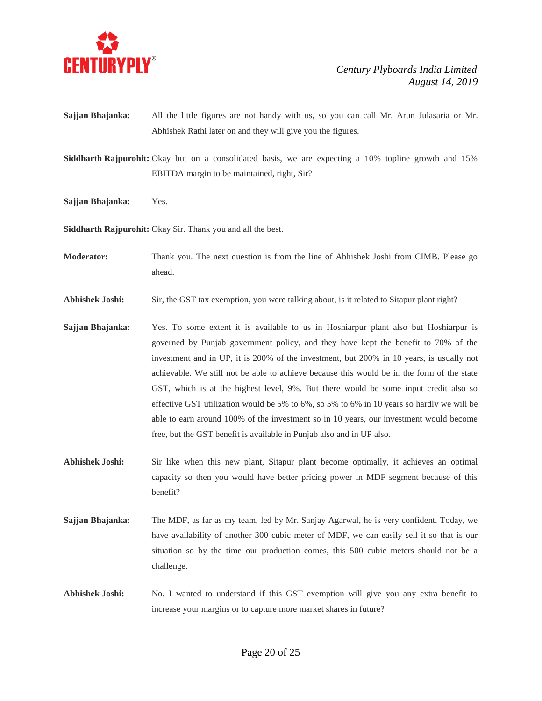

**Sajjan Bhajanka:** All the little figures are not handy with us, so you can call Mr. Arun Julasaria or Mr. Abhishek Rathi later on and they will give you the figures.

**Siddharth Rajpurohit:** Okay but on a consolidated basis, we are expecting a 10% topline growth and 15% EBITDA margin to be maintained, right, Sir?

**Sajjan Bhajanka:** Yes.

**Siddharth Rajpurohit:** Okay Sir. Thank you and all the best.

- **Moderator:** Thank you. The next question is from the line of Abhishek Joshi from CIMB. Please go ahead.
- **Abhishek Joshi:** Sir, the GST tax exemption, you were talking about, is it related to Sitapur plant right?
- **Sajjan Bhajanka:** Yes. To some extent it is available to us in Hoshiarpur plant also but Hoshiarpur is governed by Punjab government policy, and they have kept the benefit to 70% of the investment and in UP, it is 200% of the investment, but 200% in 10 years, is usually not achievable. We still not be able to achieve because this would be in the form of the state GST, which is at the highest level, 9%. But there would be some input credit also so effective GST utilization would be 5% to 6%, so 5% to 6% in 10 years so hardly we will be able to earn around 100% of the investment so in 10 years, our investment would become free, but the GST benefit is available in Punjab also and in UP also.
- **Abhishek Joshi:** Sir like when this new plant, Sitapur plant become optimally, it achieves an optimal capacity so then you would have better pricing power in MDF segment because of this benefit?
- **Sajjan Bhajanka:** The MDF, as far as my team, led by Mr. Sanjay Agarwal, he is very confident. Today, we have availability of another 300 cubic meter of MDF, we can easily sell it so that is our situation so by the time our production comes, this 500 cubic meters should not be a challenge.
- **Abhishek Joshi:** No. I wanted to understand if this GST exemption will give you any extra benefit to increase your margins or to capture more market shares in future?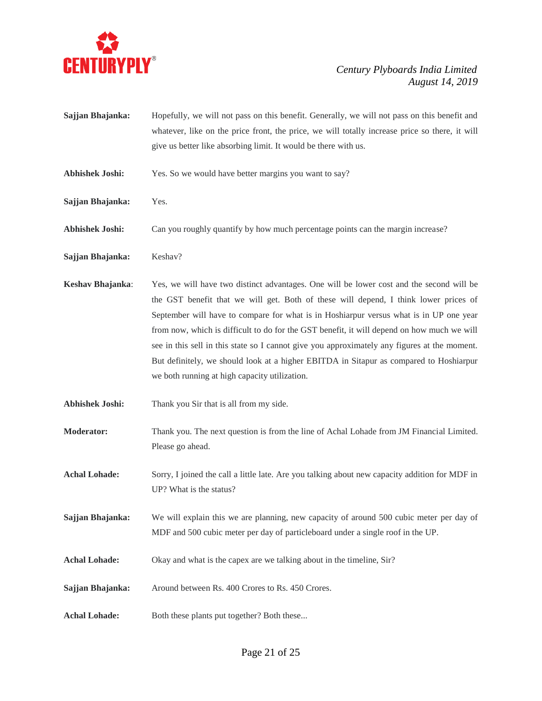

- **Sajjan Bhajanka:** Hopefully, we will not pass on this benefit. Generally, we will not pass on this benefit and whatever, like on the price front, the price, we will totally increase price so there, it will give us better like absorbing limit. It would be there with us.
- **Abhishek Joshi:** Yes. So we would have better margins you want to say?
- **Sajjan Bhajanka:** Yes.
- **Abhishek Joshi:** Can you roughly quantify by how much percentage points can the margin increase?
- Sajjan Bhajanka: Keshav?
- **Keshav Bhajanka**: Yes, we will have two distinct advantages. One will be lower cost and the second will be the GST benefit that we will get. Both of these will depend, I think lower prices of September will have to compare for what is in Hoshiarpur versus what is in UP one year from now, which is difficult to do for the GST benefit, it will depend on how much we will see in this sell in this state so I cannot give you approximately any figures at the moment. But definitely, we should look at a higher EBITDA in Sitapur as compared to Hoshiarpur we both running at high capacity utilization.
- **Abhishek Joshi:** Thank you Sir that is all from my side.
- **Moderator:** Thank you. The next question is from the line of Achal Lohade from JM Financial Limited. Please go ahead.
- **Achal Lohade:** Sorry, I joined the call a little late. Are you talking about new capacity addition for MDF in UP? What is the status?
- **Sajjan Bhajanka:** We will explain this we are planning, new capacity of around 500 cubic meter per day of MDF and 500 cubic meter per day of particleboard under a single roof in the UP.
- **Achal Lohade:** Okay and what is the capex are we talking about in the timeline, Sir?
- **Sajjan Bhajanka:** Around between Rs. 400 Crores to Rs. 450 Crores.
- Achal Lohade: Both these plants put together? Both these...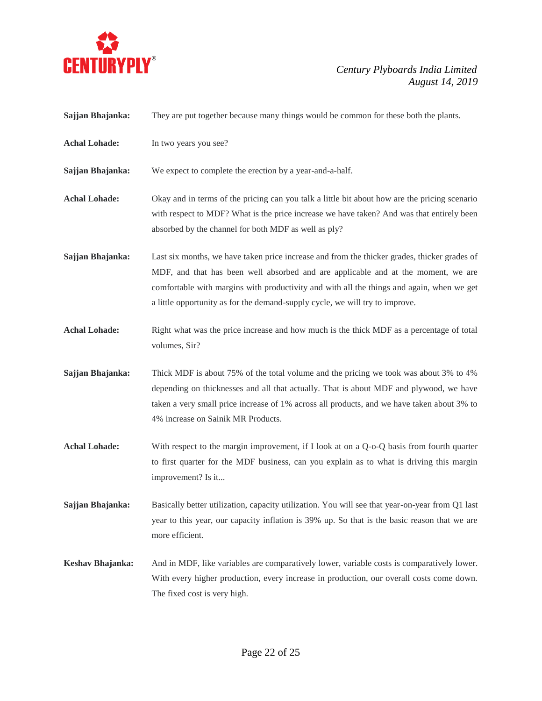

| Sajjan Bhajanka:     | They are put together because many things would be common for these both the plants.                                                                                                                                                                                                                                                                           |
|----------------------|----------------------------------------------------------------------------------------------------------------------------------------------------------------------------------------------------------------------------------------------------------------------------------------------------------------------------------------------------------------|
| <b>Achal Lohade:</b> | In two years you see?                                                                                                                                                                                                                                                                                                                                          |
| Sajjan Bhajanka:     | We expect to complete the erection by a year-and-a-half.                                                                                                                                                                                                                                                                                                       |
| <b>Achal Lohade:</b> | Okay and in terms of the pricing can you talk a little bit about how are the pricing scenario<br>with respect to MDF? What is the price increase we have taken? And was that entirely been<br>absorbed by the channel for both MDF as well as ply?                                                                                                             |
| Sajjan Bhajanka:     | Last six months, we have taken price increase and from the thicker grades, thicker grades of<br>MDF, and that has been well absorbed and are applicable and at the moment, we are<br>comfortable with margins with productivity and with all the things and again, when we get<br>a little opportunity as for the demand-supply cycle, we will try to improve. |
| <b>Achal Lohade:</b> | Right what was the price increase and how much is the thick MDF as a percentage of total<br>volumes, Sir?                                                                                                                                                                                                                                                      |
| Sajjan Bhajanka:     | Thick MDF is about 75% of the total volume and the pricing we took was about 3% to 4%<br>depending on thicknesses and all that actually. That is about MDF and plywood, we have<br>taken a very small price increase of 1% across all products, and we have taken about 3% to<br>4% increase on Sainik MR Products.                                            |
| <b>Achal Lohade:</b> | With respect to the margin improvement, if I look at on a Q-o-Q basis from fourth quarter<br>to first quarter for the MDF business, can you explain as to what is driving this margin<br>improvement? Is it                                                                                                                                                    |
| Sajjan Bhajanka:     | Basically better utilization, capacity utilization. You will see that year-on-year from Q1 last<br>year to this year, our capacity inflation is 39% up. So that is the basic reason that we are<br>more efficient.                                                                                                                                             |
| Keshav Bhajanka:     | And in MDF, like variables are comparatively lower, variable costs is comparatively lower.<br>With every higher production, every increase in production, our overall costs come down.<br>The fixed cost is very high.                                                                                                                                         |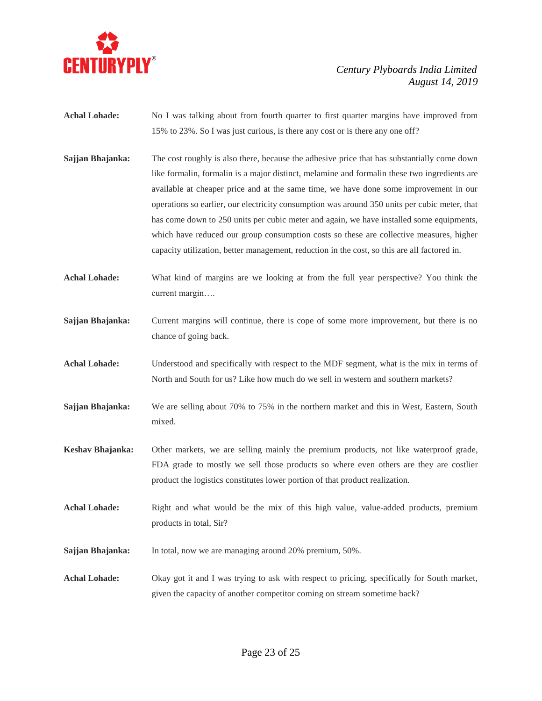

- Achal Lohade: No I was talking about from fourth quarter to first quarter margins have improved from 15% to 23%. So I was just curious, is there any cost or is there any one off?
- **Sajjan Bhajanka:** The cost roughly is also there, because the adhesive price that has substantially come down like formalin, formalin is a major distinct, melamine and formalin these two ingredients are available at cheaper price and at the same time, we have done some improvement in our operations so earlier, our electricity consumption was around 350 units per cubic meter, that has come down to 250 units per cubic meter and again, we have installed some equipments, which have reduced our group consumption costs so these are collective measures, higher capacity utilization, better management, reduction in the cost, so this are all factored in.
- **Achal Lohade:** What kind of margins are we looking at from the full year perspective? You think the current margin….
- **Sajjan Bhajanka:** Current margins will continue, there is cope of some more improvement, but there is no chance of going back.
- **Achal Lohade:** Understood and specifically with respect to the MDF segment, what is the mix in terms of North and South for us? Like how much do we sell in western and southern markets?
- **Sajjan Bhajanka:** We are selling about 70% to 75% in the northern market and this in West, Eastern, South mixed.
- **Keshav Bhajanka:** Other markets, we are selling mainly the premium products, not like waterproof grade, FDA grade to mostly we sell those products so where even others are they are costlier product the logistics constitutes lower portion of that product realization.
- Achal Lohade: Right and what would be the mix of this high value, value-added products, premium products in total, Sir?
- **Sajjan Bhajanka:** In total, now we are managing around 20% premium, 50%.
- **Achal Lohade:** Okay got it and I was trying to ask with respect to pricing, specifically for South market, given the capacity of another competitor coming on stream sometime back?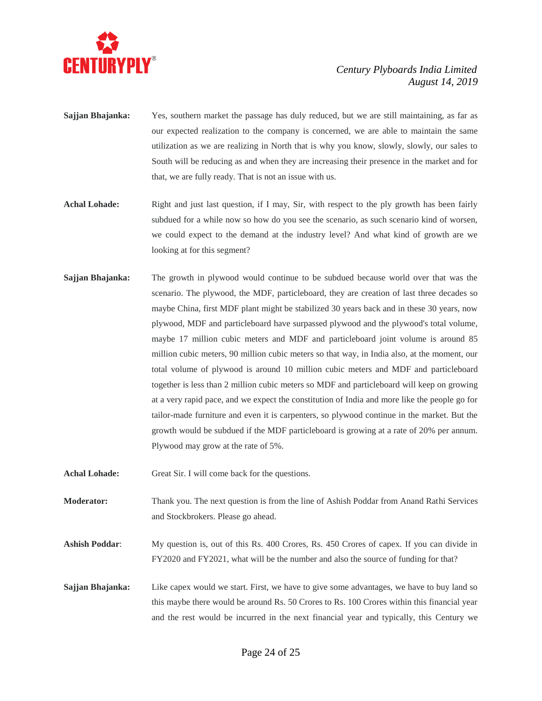

- **Sajjan Bhajanka:** Yes, southern market the passage has duly reduced, but we are still maintaining, as far as our expected realization to the company is concerned, we are able to maintain the same utilization as we are realizing in North that is why you know, slowly, slowly, our sales to South will be reducing as and when they are increasing their presence in the market and for that, we are fully ready. That is not an issue with us.
- Achal Lohade: Right and just last question, if I may, Sir, with respect to the ply growth has been fairly subdued for a while now so how do you see the scenario, as such scenario kind of worsen, we could expect to the demand at the industry level? And what kind of growth are we looking at for this segment?
- **Sajjan Bhajanka:** The growth in plywood would continue to be subdued because world over that was the scenario. The plywood, the MDF, particleboard, they are creation of last three decades so maybe China, first MDF plant might be stabilized 30 years back and in these 30 years, now plywood, MDF and particleboard have surpassed plywood and the plywood's total volume, maybe 17 million cubic meters and MDF and particleboard joint volume is around 85 million cubic meters, 90 million cubic meters so that way, in India also, at the moment, our total volume of plywood is around 10 million cubic meters and MDF and particleboard together is less than 2 million cubic meters so MDF and particleboard will keep on growing at a very rapid pace, and we expect the constitution of India and more like the people go for tailor-made furniture and even it is carpenters, so plywood continue in the market. But the growth would be subdued if the MDF particleboard is growing at a rate of 20% per annum. Plywood may grow at the rate of 5%.
- Achal Lohade: Great Sir. I will come back for the questions.

**Moderator:** Thank you. The next question is from the line of Ashish Poddar from Anand Rathi Services and Stockbrokers. Please go ahead.

- Ashish Poddar: My question is, out of this Rs. 400 Crores, Rs. 450 Crores of capex. If you can divide in FY2020 and FY2021, what will be the number and also the source of funding for that?
- **Sajjan Bhajanka:** Like capex would we start. First, we have to give some advantages, we have to buy land so this maybe there would be around Rs. 50 Crores to Rs. 100 Crores within this financial year and the rest would be incurred in the next financial year and typically, this Century we